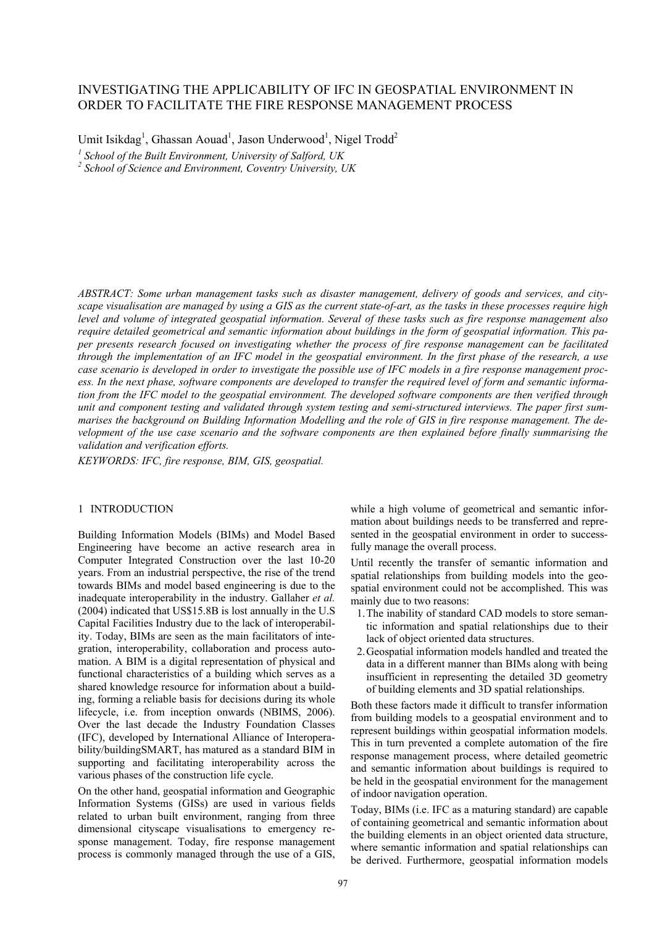# INVESTIGATING THE APPLICABILITY OF IFC IN GEOSPATIAL ENVIRONMENT IN ORDER TO FACILITATE THE FIRE RESPONSE MANAGEMENT PROCESS

Umit Isikdag<sup>1</sup>, Ghassan Aouad<sup>1</sup>, Jason Underwood<sup>1</sup>, Nigel Trodd<sup>2</sup>

*1 School of the Built Environment, University of Salford, UK* 

*2 School of Science and Environment, Coventry University, UK* 

*ABSTRACT: Some urban management tasks such as disaster management, delivery of goods and services, and cityscape visualisation are managed by using a GIS as the current state-of-art, as the tasks in these processes require high level and volume of integrated geospatial information. Several of these tasks such as fire response management also require detailed geometrical and semantic information about buildings in the form of geospatial information. This paper presents research focused on investigating whether the process of fire response management can be facilitated through the implementation of an IFC model in the geospatial environment. In the first phase of the research, a use case scenario is developed in order to investigate the possible use of IFC models in a fire response management process. In the next phase, software components are developed to transfer the required level of form and semantic information from the IFC model to the geospatial environment. The developed software components are then verified through unit and component testing and validated through system testing and semi-structured interviews. The paper first summarises the background on Building Information Modelling and the role of GIS in fire response management. The development of the use case scenario and the software components are then explained before finally summarising the validation and verification efforts.* 

*KEYWORDS: IFC, fire response, BIM, GIS, geospatial.* 

#### 1 INTRODUCTION

Building Information Models (BIMs) and Model Based Engineering have become an active research area in Computer Integrated Construction over the last 10-20 years. From an industrial perspective, the rise of the trend towards BIMs and model based engineering is due to the inadequate interoperability in the industry. Gallaher *et al.* (2004) indicated that US\$15.8B is lost annually in the U.S Capital Facilities Industry due to the lack of interoperability. Today, BIMs are seen as the main facilitators of integration, interoperability, collaboration and process automation. A BIM is a digital representation of physical and functional characteristics of a building which serves as a shared knowledge resource for information about a building, forming a reliable basis for decisions during its whole lifecycle, i.e. from inception onwards (NBIMS, 2006). Over the last decade the Industry Foundation Classes (IFC), developed by International Alliance of Interoperability/buildingSMART, has matured as a standard BIM in supporting and facilitating interoperability across the various phases of the construction life cycle.

On the other hand, geospatial information and Geographic Information Systems (GISs) are used in various fields related to urban built environment, ranging from three dimensional cityscape visualisations to emergency response management. Today, fire response management process is commonly managed through the use of a GIS,

while a high volume of geometrical and semantic information about buildings needs to be transferred and represented in the geospatial environment in order to successfully manage the overall process.

Until recently the transfer of semantic information and spatial relationships from building models into the geospatial environment could not be accomplished. This was mainly due to two reasons:

- 1.The inability of standard CAD models to store semantic information and spatial relationships due to their lack of object oriented data structures.
- 2.Geospatial information models handled and treated the data in a different manner than BIMs along with being insufficient in representing the detailed 3D geometry of building elements and 3D spatial relationships.

Both these factors made it difficult to transfer information from building models to a geospatial environment and to represent buildings within geospatial information models. This in turn prevented a complete automation of the fire response management process, where detailed geometric and semantic information about buildings is required to be held in the geospatial environment for the management of indoor navigation operation.

Today, BIMs (i.e. IFC as a maturing standard) are capable of containing geometrical and semantic information about the building elements in an object oriented data structure, where semantic information and spatial relationships can be derived. Furthermore, geospatial information models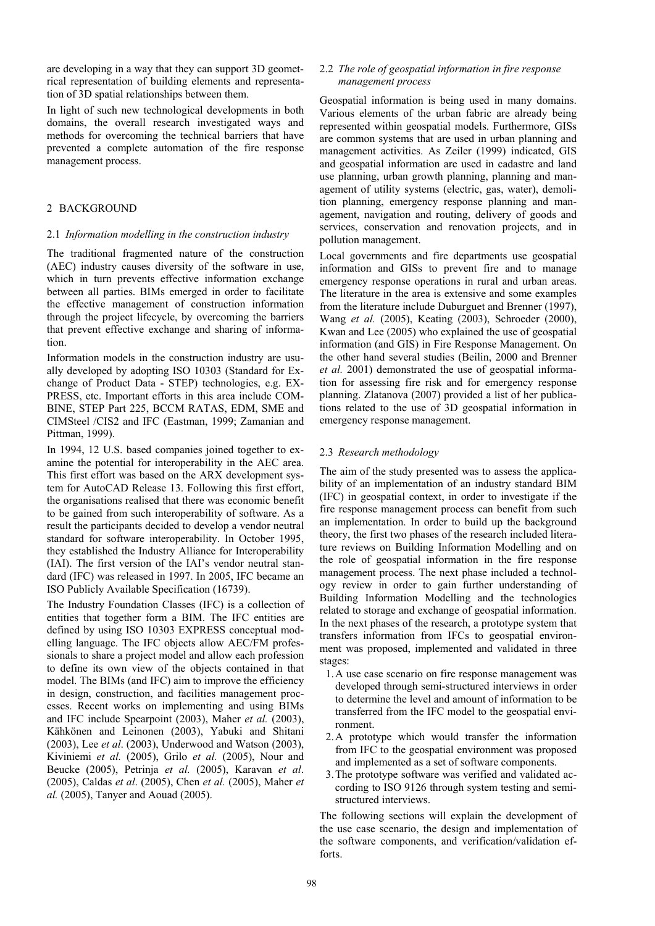are developing in a way that they can support 3D geometrical representation of building elements and representation of 3D spatial relationships between them.

In light of such new technological developments in both domains, the overall research investigated ways and methods for overcoming the technical barriers that have prevented a complete automation of the fire response management process.

## 2 BACKGROUND

# 2.1 *Information modelling in the construction industry*

The traditional fragmented nature of the construction (AEC) industry causes diversity of the software in use, which in turn prevents effective information exchange between all parties. BIMs emerged in order to facilitate the effective management of construction information through the project lifecycle, by overcoming the barriers that prevent effective exchange and sharing of information.

Information models in the construction industry are usually developed by adopting ISO 10303 (Standard for Exchange of Product Data - STEP) technologies, e.g. EX-PRESS, etc. Important efforts in this area include COM-BINE, STEP Part 225, BCCM RATAS, EDM, SME and CIMSteel /CIS2 and IFC (Eastman, 1999; Zamanian and Pittman, 1999).

In 1994, 12 U.S. based companies joined together to examine the potential for interoperability in the AEC area. This first effort was based on the ARX development system for AutoCAD Release 13. Following this first effort, the organisations realised that there was economic benefit to be gained from such interoperability of software. As a result the participants decided to develop a vendor neutral standard for software interoperability. In October 1995, they established the Industry Alliance for Interoperability (IAI). The first version of the IAI's vendor neutral standard (IFC) was released in 1997. In 2005, IFC became an ISO Publicly Available Specification (16739).

The Industry Foundation Classes (IFC) is a collection of entities that together form a BIM. The IFC entities are defined by using ISO 10303 EXPRESS conceptual modelling language. The IFC objects allow AEC/FM professionals to share a project model and allow each profession to define its own view of the objects contained in that model. The BIMs (and IFC) aim to improve the efficiency in design, construction, and facilities management processes. Recent works on implementing and using BIMs and IFC include Spearpoint (2003), Maher *et al.* (2003), Kähkönen and Leinonen (2003), Yabuki and Shitani (2003), Lee *et al*. (2003), Underwood and Watson (2003), Kiviniemi *et al.* (2005), Grilo *et al.* (2005), Nour and Beucke (2005), Petrinja *et al.* (2005), Karavan *et al*. (2005), Caldas *et al*. (2005), Chen *et al.* (2005), Maher *et al.* (2005), Tanyer and Aouad (2005).

## 2.2 *The role of geospatial information in fire response management process*

Geospatial information is being used in many domains. Various elements of the urban fabric are already being represented within geospatial models. Furthermore, GISs are common systems that are used in urban planning and management activities. As Zeiler (1999) indicated, GIS and geospatial information are used in cadastre and land use planning, urban growth planning, planning and management of utility systems (electric, gas, water), demolition planning, emergency response planning and management, navigation and routing, delivery of goods and services, conservation and renovation projects, and in pollution management.

Local governments and fire departments use geospatial information and GISs to prevent fire and to manage emergency response operations in rural and urban areas. The literature in the area is extensive and some examples from the literature include Duburguet and Brenner (1997), Wang *et al.* (2005), Keating (2003), Schroeder (2000), Kwan and Lee (2005) who explained the use of geospatial information (and GIS) in Fire Response Management. On the other hand several studies (Beilin, 2000 and Brenner *et al.* 2001) demonstrated the use of geospatial information for assessing fire risk and for emergency response planning. Zlatanova (2007) provided a list of her publications related to the use of 3D geospatial information in emergency response management.

### 2.3 *Research methodology*

The aim of the study presented was to assess the applicability of an implementation of an industry standard BIM (IFC) in geospatial context, in order to investigate if the fire response management process can benefit from such an implementation. In order to build up the background theory, the first two phases of the research included literature reviews on Building Information Modelling and on the role of geospatial information in the fire response management process. The next phase included a technology review in order to gain further understanding of Building Information Modelling and the technologies related to storage and exchange of geospatial information. In the next phases of the research, a prototype system that transfers information from IFCs to geospatial environment was proposed, implemented and validated in three stages:

- 1.A use case scenario on fire response management was developed through semi-structured interviews in order to determine the level and amount of information to be transferred from the IFC model to the geospatial environment.
- 2.A prototype which would transfer the information from IFC to the geospatial environment was proposed and implemented as a set of software components.
- 3.The prototype software was verified and validated according to ISO 9126 through system testing and semistructured interviews.

The following sections will explain the development of the use case scenario, the design and implementation of the software components, and verification/validation efforts.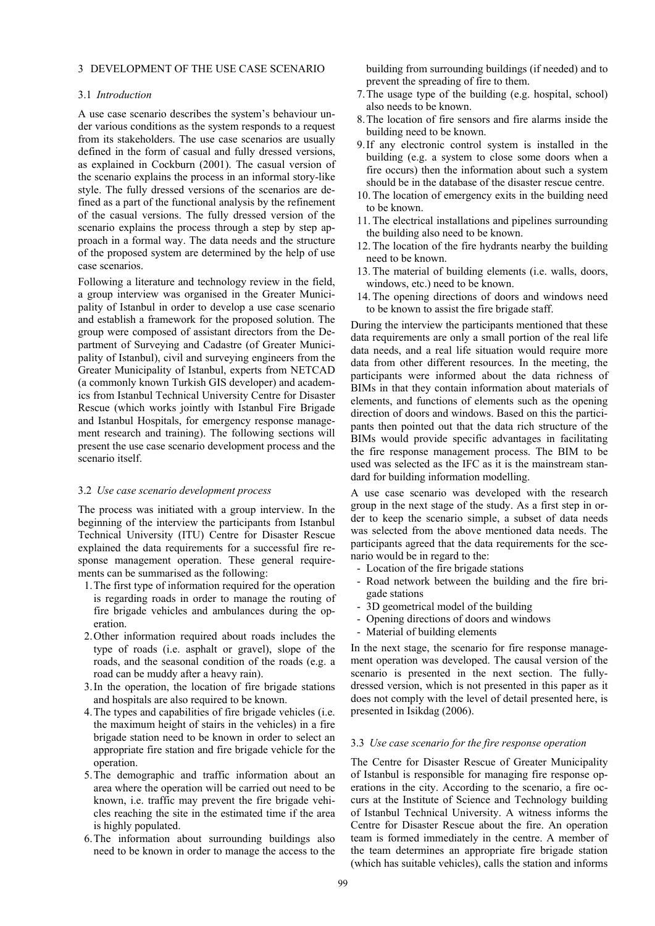## 3 DEVELOPMENT OF THE USE CASE SCENARIO

#### 3.1 *Introduction*

A use case scenario describes the system's behaviour under various conditions as the system responds to a request from its stakeholders. The use case scenarios are usually defined in the form of casual and fully dressed versions, as explained in Cockburn (2001). The casual version of the scenario explains the process in an informal story-like style. The fully dressed versions of the scenarios are defined as a part of the functional analysis by the refinement of the casual versions. The fully dressed version of the scenario explains the process through a step by step approach in a formal way. The data needs and the structure of the proposed system are determined by the help of use case scenarios.

Following a literature and technology review in the field, a group interview was organised in the Greater Municipality of Istanbul in order to develop a use case scenario and establish a framework for the proposed solution. The group were composed of assistant directors from the Department of Surveying and Cadastre (of Greater Municipality of Istanbul), civil and surveying engineers from the Greater Municipality of Istanbul, experts from NETCAD (a commonly known Turkish GIS developer) and academics from Istanbul Technical University Centre for Disaster Rescue (which works jointly with Istanbul Fire Brigade and Istanbul Hospitals, for emergency response management research and training). The following sections will present the use case scenario development process and the scenario itself.

#### 3.2 *Use case scenario development process*

The process was initiated with a group interview. In the beginning of the interview the participants from Istanbul Technical University (ITU) Centre for Disaster Rescue explained the data requirements for a successful fire response management operation. These general requirements can be summarised as the following:

- 1.The first type of information required for the operation is regarding roads in order to manage the routing of fire brigade vehicles and ambulances during the operation.
- 2.Other information required about roads includes the type of roads (i.e. asphalt or gravel), slope of the roads, and the seasonal condition of the roads (e.g. a road can be muddy after a heavy rain).
- 3.In the operation, the location of fire brigade stations and hospitals are also required to be known.
- 4.The types and capabilities of fire brigade vehicles (i.e. the maximum height of stairs in the vehicles) in a fire brigade station need to be known in order to select an appropriate fire station and fire brigade vehicle for the operation.
- 5.The demographic and traffic information about an area where the operation will be carried out need to be known, i.e. traffic may prevent the fire brigade vehicles reaching the site in the estimated time if the area is highly populated.
- 6.The information about surrounding buildings also need to be known in order to manage the access to the

building from surrounding buildings (if needed) and to prevent the spreading of fire to them.

- 7.The usage type of the building (e.g. hospital, school) also needs to be known.
- 8.The location of fire sensors and fire alarms inside the building need to be known.
- 9.If any electronic control system is installed in the building (e.g. a system to close some doors when a fire occurs) then the information about such a system should be in the database of the disaster rescue centre.
- 10. The location of emergency exits in the building need to be known.
- 11. The electrical installations and pipelines surrounding the building also need to be known.
- 12. The location of the fire hydrants nearby the building need to be known.
- 13. The material of building elements (i.e. walls, doors, windows, etc.) need to be known.
- 14. The opening directions of doors and windows need to be known to assist the fire brigade staff.

During the interview the participants mentioned that these data requirements are only a small portion of the real life data needs, and a real life situation would require more data from other different resources. In the meeting, the participants were informed about the data richness of BIMs in that they contain information about materials of elements, and functions of elements such as the opening direction of doors and windows. Based on this the participants then pointed out that the data rich structure of the BIMs would provide specific advantages in facilitating the fire response management process. The BIM to be used was selected as the IFC as it is the mainstream standard for building information modelling.

A use case scenario was developed with the research group in the next stage of the study. As a first step in order to keep the scenario simple, a subset of data needs was selected from the above mentioned data needs. The participants agreed that the data requirements for the scenario would be in regard to the:

- Location of the fire brigade stations
- Road network between the building and the fire brigade stations
- 3D geometrical model of the building
- Opening directions of doors and windows
- Material of building elements

In the next stage, the scenario for fire response management operation was developed. The causal version of the scenario is presented in the next section. The fullydressed version, which is not presented in this paper as it does not comply with the level of detail presented here, is presented in Isikdag (2006).

### 3.3 *Use case scenario for the fire response operation*

The Centre for Disaster Rescue of Greater Municipality of Istanbul is responsible for managing fire response operations in the city. According to the scenario, a fire occurs at the Institute of Science and Technology building of Istanbul Technical University. A witness informs the Centre for Disaster Rescue about the fire. An operation team is formed immediately in the centre. A member of the team determines an appropriate fire brigade station (which has suitable vehicles), calls the station and informs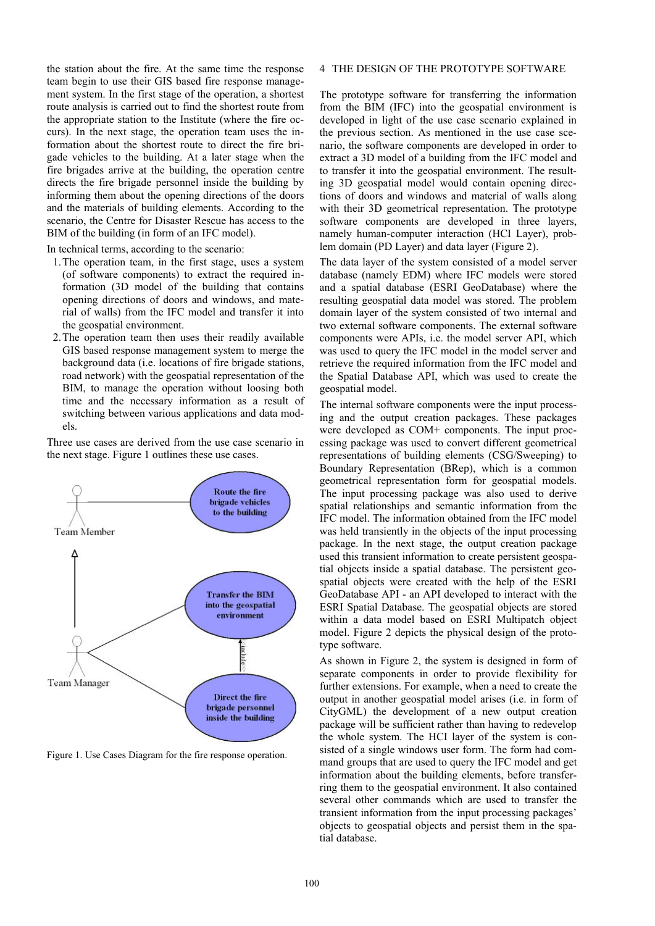the station about the fire. At the same time the response team begin to use their GIS based fire response management system. In the first stage of the operation, a shortest route analysis is carried out to find the shortest route from the appropriate station to the Institute (where the fire occurs). In the next stage, the operation team uses the information about the shortest route to direct the fire brigade vehicles to the building. At a later stage when the fire brigades arrive at the building, the operation centre directs the fire brigade personnel inside the building by informing them about the opening directions of the doors and the materials of building elements. According to the scenario, the Centre for Disaster Rescue has access to the BIM of the building (in form of an IFC model).

In technical terms, according to the scenario:

- 1.The operation team, in the first stage, uses a system (of software components) to extract the required information (3D model of the building that contains opening directions of doors and windows, and material of walls) from the IFC model and transfer it into the geospatial environment.
- 2.The operation team then uses their readily available GIS based response management system to merge the background data (i.e. locations of fire brigade stations, road network) with the geospatial representation of the BIM, to manage the operation without loosing both time and the necessary information as a result of switching between various applications and data models.

Three use cases are derived from the use case scenario in the next stage. Figure 1 outlines these use cases.



Figure 1. Use Cases Diagram for the fire response operation.

# 4 THE DESIGN OF THE PROTOTYPE SOFTWARE

The prototype software for transferring the information from the BIM (IFC) into the geospatial environment is developed in light of the use case scenario explained in the previous section. As mentioned in the use case scenario, the software components are developed in order to extract a 3D model of a building from the IFC model and to transfer it into the geospatial environment. The resulting 3D geospatial model would contain opening directions of doors and windows and material of walls along with their 3D geometrical representation. The prototype software components are developed in three layers, namely human-computer interaction (HCI Layer), problem domain (PD Layer) and data layer (Figure 2).

The data layer of the system consisted of a model server database (namely EDM) where IFC models were stored and a spatial database (ESRI GeoDatabase) where the resulting geospatial data model was stored. The problem domain layer of the system consisted of two internal and two external software components. The external software components were APIs, i.e. the model server API, which was used to query the IFC model in the model server and retrieve the required information from the IFC model and the Spatial Database API, which was used to create the geospatial model.

The internal software components were the input processing and the output creation packages. These packages were developed as COM+ components. The input processing package was used to convert different geometrical representations of building elements (CSG/Sweeping) to Boundary Representation (BRep), which is a common geometrical representation form for geospatial models. The input processing package was also used to derive spatial relationships and semantic information from the IFC model. The information obtained from the IFC model was held transiently in the objects of the input processing package. In the next stage, the output creation package used this transient information to create persistent geospatial objects inside a spatial database. The persistent geospatial objects were created with the help of the ESRI GeoDatabase API - an API developed to interact with the ESRI Spatial Database. The geospatial objects are stored within a data model based on ESRI Multipatch object model. Figure 2 depicts the physical design of the prototype software.

As shown in Figure 2, the system is designed in form of separate components in order to provide flexibility for further extensions. For example, when a need to create the output in another geospatial model arises (i.e. in form of CityGML) the development of a new output creation package will be sufficient rather than having to redevelop the whole system. The HCI layer of the system is consisted of a single windows user form. The form had command groups that are used to query the IFC model and get information about the building elements, before transferring them to the geospatial environment. It also contained several other commands which are used to transfer the transient information from the input processing packages' objects to geospatial objects and persist them in the spatial database.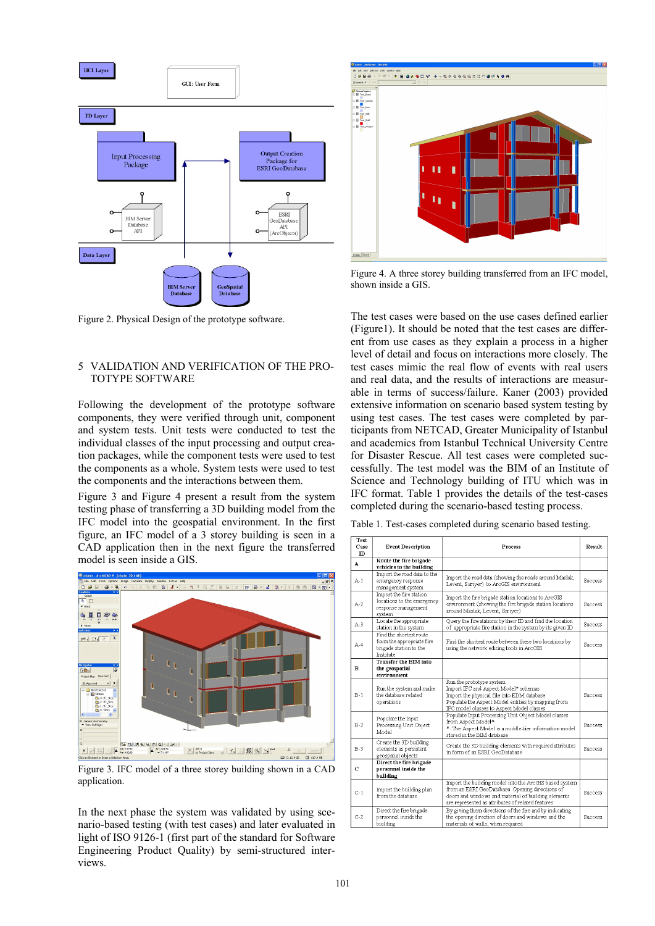

Figure 2. Physical Design of the prototype software.

# 5 VALIDATION AND VERIFICATION OF THE PRO-TOTYPE SOFTWARE

Following the development of the prototype software components, they were verified through unit, component and system tests. Unit tests were conducted to test the individual classes of the input processing and output creation packages, while the component tests were used to test the components as a whole. System tests were used to test the components and the interactions between them.

Figure 3 and Figure 4 present a result from the system testing phase of transferring a 3D building model from the IFC model into the geospatial environment. In the first figure, an IFC model of a 3 storey building is seen in a CAD application then in the next figure the transferred model is seen inside a GIS.



Figure 3. IFC model of a three storey building shown in a CAD application.

In the next phase the system was validated by using scenario-based testing (with test cases) and later evaluated in light of ISO 9126-1 (first part of the standard for Software Engineering Product Quality) by semi-structured interviews.



Figure 4. A three storey building transferred from an IFC model, shown inside a GIS.

The test cases were based on the use cases defined earlier (Figure1). It should be noted that the test cases are different from use cases as they explain a process in a higher level of detail and focus on interactions more closely. The test cases mimic the real flow of events with real users and real data, and the results of interactions are measurable in terms of success/failure. Kaner (2003) provided extensive information on scenario based system testing by using test cases. The test cases were completed by participants from NETCAD, Greater Municipality of Istanbul and academics from Istanbul Technical University Centre for Disaster Rescue. All test cases were completed successfully. The test model was the BIM of an Institute of Science and Technology building of ITU which was in IFC format. Table 1 provides the details of the test-cases completed during the scenario-based testing process.

| rest<br>Case<br>$\mathbb{D}$ | <b>Event Description</b>                                                                           | Process                                                                                                                                                                                                               | Result   |
|------------------------------|----------------------------------------------------------------------------------------------------|-----------------------------------------------------------------------------------------------------------------------------------------------------------------------------------------------------------------------|----------|
| A                            | Route the fire brigade<br>vehicles to the building                                                 |                                                                                                                                                                                                                       |          |
| $A-1$                        | Import the road data to the<br>emergency response<br>management system                             | Import the road data (showing the roads around Maslak,<br>Levent, Sariyer) to ArcGIS environment                                                                                                                      | Success  |
| $A-2$                        | Import the fire station<br>locations to the emergency<br>response management<br>system             | Import the fire brigade station locations to ArcGIS<br>environment (showing the fire brigade station locations<br>around Maslak, Levent, Sariyer)                                                                     | Success  |
| $A-3$                        | Locate the appropriate<br>station in the system                                                    | Query the fire stations by their ID and find the location<br>of appropriate fire station in the system by its given ID                                                                                                | Success  |
| $A-4$                        | Find the shortest route<br>form the appropriate fire<br>brigade station to the<br><b>Tnstitute</b> | Find the shortest route between these two locations by<br>using the network editing tools in ArcGIS                                                                                                                   | Success. |
| в                            | Transfer the BIM into<br>the geospatial<br>environment                                             |                                                                                                                                                                                                                       |          |
| $B-1$                        | Run the system and make<br>the database related<br>operations                                      | Run the prototype system<br>Import IFC and Aspect Model* schemas<br>Import the physical file into EDM database<br>Populate the Aspect Model entities by mapping from<br>IFC model classes to Aspect Model classes     | Success  |
| $B-2$                        | Populate the Input<br>Processing Unit Object<br>Model                                              | Populate Input Processing Unit Object Model classes<br>from Aspect Model*<br>*: The Aspect Model is a middle-tier information model<br>stored in the BIM database                                                     | Success  |
| $B-3$                        | Create the 3D building<br>elements as persistent<br>geospatial objects                             | Create the 3D building elements with required attributes<br>in form of an ESRI GeoDatabase                                                                                                                            | Success  |
| $\mathbf C$                  | Direct the fire brigade<br>personnel inside the<br>building                                        |                                                                                                                                                                                                                       |          |
| $C-1$                        | Import the building plan<br>from the database                                                      | Import the building model into the ArcGIS based system<br>from an ESRI GeoDatabase. Opening directions of<br>doors and windows and material of building elements<br>are represented as attributes of related features | Success  |
| $C-2$                        | Direct the fire brigade<br>personnel inside the<br>building                                        | By giving them directions of the fire and by indicating<br>the opening direction of doors and windows and the<br>materials of walls, when required                                                                    | Success  |

Table 1. Test-cases completed during scenario based testing.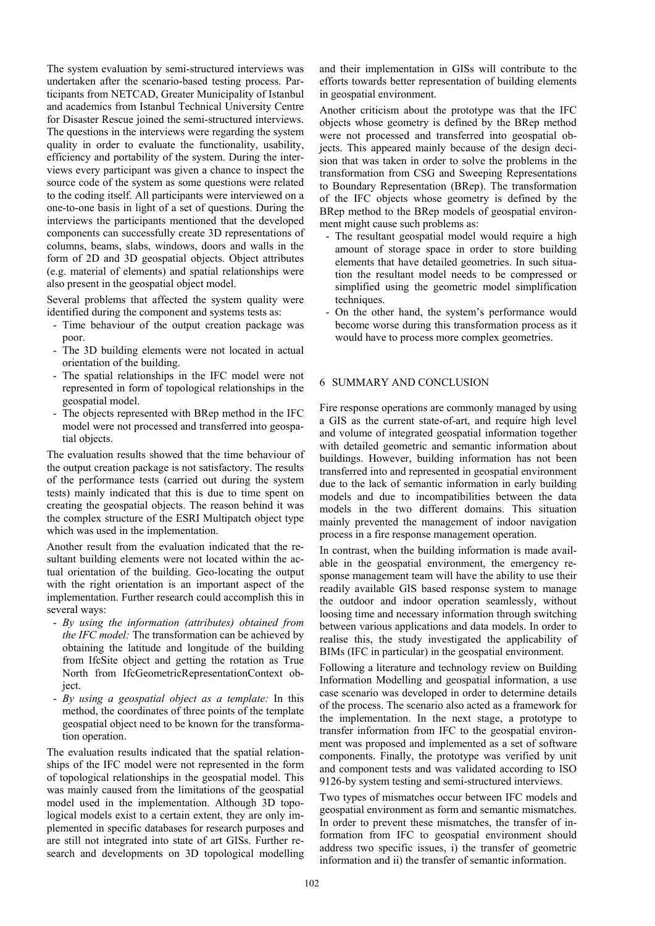The system evaluation by semi-structured interviews was undertaken after the scenario-based testing process. Participants from NETCAD, Greater Municipality of Istanbul and academics from Istanbul Technical University Centre for Disaster Rescue joined the semi-structured interviews. The questions in the interviews were regarding the system quality in order to evaluate the functionality, usability, efficiency and portability of the system. During the interviews every participant was given a chance to inspect the source code of the system as some questions were related to the coding itself. All participants were interviewed on a one-to-one basis in light of a set of questions. During the interviews the participants mentioned that the developed components can successfully create 3D representations of columns, beams, slabs, windows, doors and walls in the form of 2D and 3D geospatial objects. Object attributes (e.g. material of elements) and spatial relationships were also present in the geospatial object model.

Several problems that affected the system quality were identified during the component and systems tests as:

- Time behaviour of the output creation package was poor.
- The 3D building elements were not located in actual orientation of the building.
- The spatial relationships in the IFC model were not represented in form of topological relationships in the geospatial model.
- The objects represented with BRep method in the IFC model were not processed and transferred into geospatial objects.

The evaluation results showed that the time behaviour of the output creation package is not satisfactory. The results of the performance tests (carried out during the system tests) mainly indicated that this is due to time spent on creating the geospatial objects. The reason behind it was the complex structure of the ESRI Multipatch object type which was used in the implementation.

Another result from the evaluation indicated that the resultant building elements were not located within the actual orientation of the building. Geo-locating the output with the right orientation is an important aspect of the implementation. Further research could accomplish this in several ways:

- *By using the information (attributes) obtained from the IFC model:* The transformation can be achieved by obtaining the latitude and longitude of the building from IfcSite object and getting the rotation as True North from IfcGeometricRepresentationContext object.
- *By using a geospatial object as a template:* In this method, the coordinates of three points of the template geospatial object need to be known for the transformation operation.

The evaluation results indicated that the spatial relationships of the IFC model were not represented in the form of topological relationships in the geospatial model. This was mainly caused from the limitations of the geospatial model used in the implementation. Although 3D topological models exist to a certain extent, they are only implemented in specific databases for research purposes and are still not integrated into state of art GISs. Further research and developments on 3D topological modelling and their implementation in GISs will contribute to the efforts towards better representation of building elements in geospatial environment.

Another criticism about the prototype was that the IFC objects whose geometry is defined by the BRep method were not processed and transferred into geospatial objects. This appeared mainly because of the design decision that was taken in order to solve the problems in the transformation from CSG and Sweeping Representations to Boundary Representation (BRep). The transformation of the IFC objects whose geometry is defined by the BRep method to the BRep models of geospatial environment might cause such problems as:

- The resultant geospatial model would require a high amount of storage space in order to store building elements that have detailed geometries. In such situation the resultant model needs to be compressed or simplified using the geometric model simplification techniques.
- On the other hand, the system's performance would become worse during this transformation process as it would have to process more complex geometries.

# 6 SUMMARY AND CONCLUSION

Fire response operations are commonly managed by using a GIS as the current state-of-art, and require high level and volume of integrated geospatial information together with detailed geometric and semantic information about buildings. However, building information has not been transferred into and represented in geospatial environment due to the lack of semantic information in early building models and due to incompatibilities between the data models in the two different domains. This situation mainly prevented the management of indoor navigation process in a fire response management operation.

In contrast, when the building information is made available in the geospatial environment, the emergency response management team will have the ability to use their readily available GIS based response system to manage the outdoor and indoor operation seamlessly, without loosing time and necessary information through switching between various applications and data models. In order to realise this, the study investigated the applicability of BIMs (IFC in particular) in the geospatial environment.

Following a literature and technology review on Building Information Modelling and geospatial information, a use case scenario was developed in order to determine details of the process. The scenario also acted as a framework for the implementation. In the next stage, a prototype to transfer information from IFC to the geospatial environment was proposed and implemented as a set of software components. Finally, the prototype was verified by unit and component tests and was validated according to ISO 9126-by system testing and semi-structured interviews.

Two types of mismatches occur between IFC models and geospatial environment as form and semantic mismatches. In order to prevent these mismatches, the transfer of information from IFC to geospatial environment should address two specific issues, i) the transfer of geometric information and ii) the transfer of semantic information.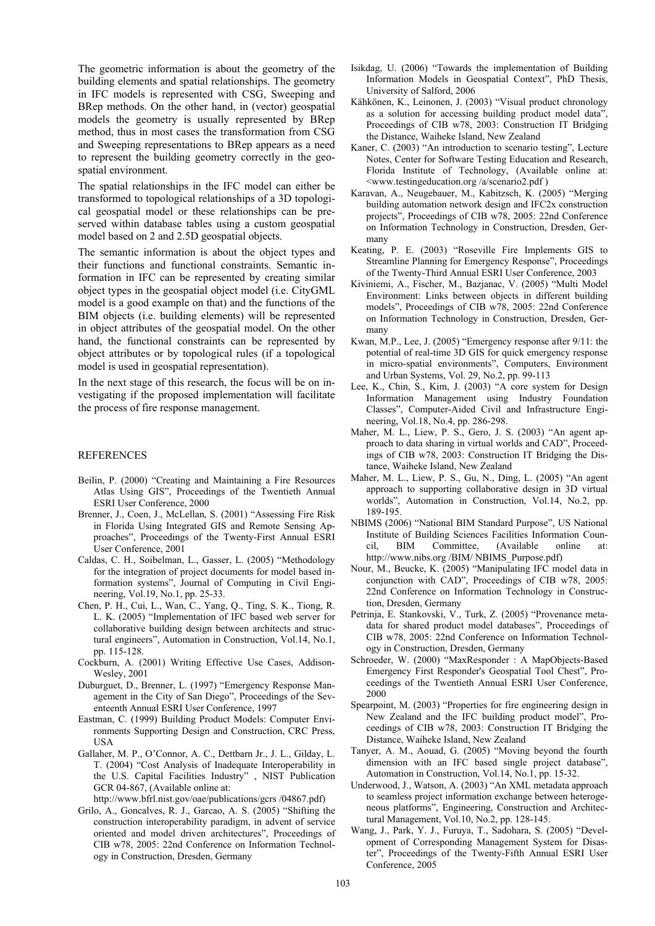The geometric information is about the geometry of the building elements and spatial relationships. The geometry in IFC models is represented with CSG, Sweeping and BRep methods. On the other hand, in (vector) geospatial models the geometry is usually represented by BRep method, thus in most cases the transformation from CSG and Sweeping representations to BRep appears as a need to represent the building geometry correctly in the geospatial environment.

The spatial relationships in the IFC model can either be transformed to topological relationships of a 3D topological geospatial model or these relationships can be preserved within database tables using a custom geospatial model based on 2 and 2.5D geospatial objects.

The semantic information is about the object types and their functions and functional constraints. Semantic information in IFC can be represented by creating similar object types in the geospatial object model (i.e. CityGML model is a good example on that) and the functions of the BIM objects (i.e. building elements) will be represented in object attributes of the geospatial model. On the other hand, the functional constraints can be represented by object attributes or by topological rules (if a topological model is used in geospatial representation).

In the next stage of this research, the focus will be on investigating if the proposed implementation will facilitate the process of fire response management.

#### REFERENCES

- Beilin, P. (2000) "Creating and Maintaining a Fire Resources Atlas Using GIS", Proceedings of the Twentieth Annual ESRI User Conference, 2000
- Brenner, J., Coen, J., McLellan, S. (2001) "Assessing Fire Risk in Florida Using Integrated GIS and Remote Sensing Approaches", Proceedings of the Twenty-First Annual ESRI User Conference, 2001
- Caldas, C. H., Soibelman, L., Gasser, L. (2005) "Methodology for the integration of project documents for model based information systems", Journal of Computing in Civil Engineering, Vol.19, No.1, pp. 25-33.
- Chen, P. H., Cui, L., Wan, C., Yang, Q., Ting, S. K., Tiong, R. L. K. (2005) "Implementation of IFC based web server for collaborative building design between architects and structural engineers", Automation in Construction, Vol.14, No.1, pp. 115-128.
- Cockburn, A. (2001) Writing Effective Use Cases, Addison-Wesley, 2001
- Duburguet, D., Brenner, L. (1997) "Emergency Response Management in the City of San Diego", Proceedings of the Seventeenth Annual ESRI User Conference, 1997
- Eastman, C. (1999) Building Product Models: Computer Environments Supporting Design and Construction, CRC Press, USA
- Gallaher, M. P., O'Connor, A. C., Dettbarn Jr., J. L., Gilday, L. T. (2004) "Cost Analysis of Inadequate Interoperability in the U.S. Capital Facilities Industry" , NIST Publication GCR 04-867, (Available online at:

http://www.bfrl.nist.gov/oae/publications/gcrs /04867.pdf)

Grilo, A., Goncalves, R. J., Garcao, A. S. (2005) "Shifting the construction interoperability paradigm, in advent of service oriented and model driven architectures", Proceedings of CIB w78, 2005: 22nd Conference on Information Technology in Construction, Dresden, Germany

- Isikdag, U. (2006) "Towards the implementation of Building Information Models in Geospatial Context", PhD Thesis, University of Salford, 2006
- Kähkönen, K., Leinonen, J. (2003) "Visual product chronology as a solution for accessing building product model data", Proceedings of CIB w78, 2003: Construction IT Bridging the Distance, Waiheke Island, New Zealand
- Kaner, C. (2003) "An introduction to scenario testing", Lecture Notes, Center for Software Testing Education and Research, Florida Institute of Technology, (Available online at: <www.testingeducation.org /a/scenario2.pdf )
- Karavan, A., Neugebauer, M., Kabitzsch, K. (2005) "Merging building automation network design and IFC2x construction projects", Proceedings of CIB w78, 2005: 22nd Conference on Information Technology in Construction, Dresden, Germany
- Keating, P. E. (2003) "Roseville Fire Implements GIS to Streamline Planning for Emergency Response", Proceedings of the Twenty-Third Annual ESRI User Conference, 2003
- Kiviniemi, A., Fischer, M., Bazjanac, V. (2005) "Multi Model Environment: Links between objects in different building models", Proceedings of CIB w78, 2005: 22nd Conference on Information Technology in Construction, Dresden, Germany
- Kwan, M.P., Lee, J. (2005) "Emergency response after 9/11: the potential of real-time 3D GIS for quick emergency response in micro-spatial environments", Computers, Environment and Urban Systems, Vol. 29, No.2, pp. 99-113
- Lee, K., Chin, S., Kim, J. (2003) "A core system for Design Information Management using Industry Foundation Classes", Computer-Aided Civil and Infrastructure Engineering, Vol.18, No.4, pp. 286-298.
- Maher, M. L., Liew, P. S., Gero, J. S. (2003) "An agent approach to data sharing in virtual worlds and CAD", Proceedings of CIB w78, 2003: Construction IT Bridging the Distance, Waiheke Island, New Zealand
- Maher, M. L., Liew, P. S., Gu, N., Ding, L. (2005) "An agent approach to supporting collaborative design in 3D virtual worlds", Automation in Construction, Vol.14, No.2, pp. 189-195.
- NBIMS (2006) "National BIM Standard Purpose", US National Institute of Building Sciences Facilities Information Council, BIM Committee, (Available online at: http://www.nibs.org /BIM/ NBIMS\_Purpose.pdf)
- Nour, M., Beucke, K. (2005) "Manipulating IFC model data in conjunction with CAD", Proceedings of CIB w78, 2005: 22nd Conference on Information Technology in Construction, Dresden, Germany
- Petrinja, E. Stankovski, V., Turk, Z. (2005) "Provenance metadata for shared product model databases", Proceedings of CIB w78, 2005: 22nd Conference on Information Technology in Construction, Dresden, Germany
- Schroeder, W. (2000) "MaxResponder : A MapObjects-Based Emergency First Responder's Geospatial Tool Chest", Proceedings of the Twentieth Annual ESRI User Conference, 2000
- Spearpoint, M. (2003) "Properties for fire engineering design in New Zealand and the IFC building product model", Proceedings of CIB w78, 2003: Construction IT Bridging the Distance, Waiheke Island, New Zealand
- Tanyer, A. M., Aouad, G. (2005) "Moving beyond the fourth dimension with an IFC based single project database", Automation in Construction, Vol.14, No.1, pp. 15-32.
- Underwood, J., Watson, A. (2003) "An XML metadata approach to seamless project information exchange between heterogeneous platforms", Engineering, Construction and Architectural Management, Vol.10, No.2, pp. 128-145.
- Wang, J., Park, Y. J., Furuya, T., Sadohara, S. (2005) "Development of Corresponding Management System for Disaster", Proceedings of the Twenty-Fifth Annual ESRI User Conference, 2005